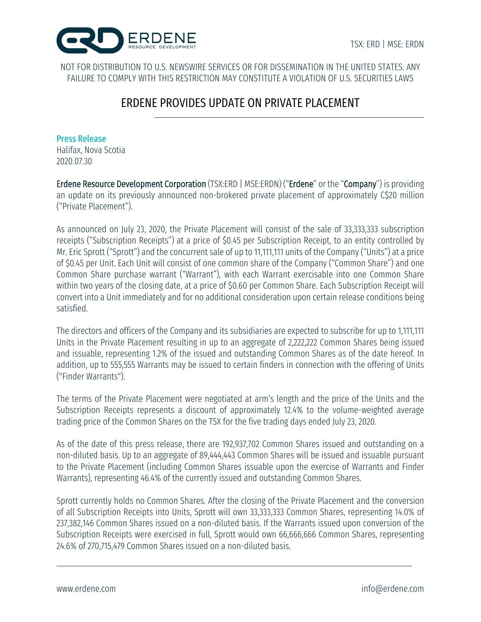

NOT FOR DISTRIBUTION TO U.S. NEWSWIRE SERVICES OR FOR DISSEMINATION IN THE UNITED STATES. ANY FAILURE TO COMPLY WITH THIS RESTRICTION MAY CONSTITUTE A VIOLATION OF U.S. SECURITIES LAWS

# ERDENE PROVIDES UPDATE ON PRIVATE PLACEMENT

### Press Release

Halifax, Nova Scotia 2020.07.30

Erdene Resource Development Corporation (TSX:ERD | MSE:ERDN) ("Erdene" or the "Company") is providing an update on its previously announced non-brokered private placement of approximately C\$20 million ("Private Placement").

As announced on July 23, 2020, the Private Placement will consist of the sale of 33,333,333 subscription receipts ("Subscription Receipts") at a price of \$0.45 per Subscription Receipt, to an entity controlled by Mr. Eric Sprott ("Sprott") and the concurrent sale of up to 11,111,111 units of the Company ("Units") at a price of \$0.45 per Unit. Each Unit will consist of one common share of the Company ("Common Share") and one Common Share purchase warrant ("Warrant"), with each Warrant exercisable into one Common Share within two years of the closing date, at a price of \$0.60 per Common Share. Each Subscription Receipt will convert into a Unit immediately and for no additional consideration upon certain release conditions being satisfied.

The directors and officers of the Company and its subsidiaries are expected to subscribe for up to 1,111,111 Units in the Private Placement resulting in up to an aggregate of 2,222,222 Common Shares being issued and issuable, representing 1.2% of the issued and outstanding Common Shares as of the date hereof. In addition, up to 555,555 Warrants may be issued to certain finders in connection with the offering of Units ("Finder Warrants").

The terms of the Private Placement were negotiated at arm's length and the price of the Units and the Subscription Receipts represents a discount of approximately 12.4% to the volume-weighted average trading price of the Common Shares on the TSX for the five trading days ended July 23, 2020.

As of the date of this press release, there are 192,937,702 Common Shares issued and outstanding on a non-diluted basis. Up to an aggregate of 89,444,443 Common Shares will be issued and issuable pursuant to the Private Placement (including Common Shares issuable upon the exercise of Warrants and Finder Warrants), representing 46.4% of the currently issued and outstanding Common Shares.

Sprott currently holds no Common Shares. After the closing of the Private Placement and the conversion of all Subscription Receipts into Units, Sprott will own 33,333,333 Common Shares, representing 14.0% of 237,382,146 Common Shares issued on a non-diluted basis. If the Warrants issued upon conversion of the Subscription Receipts were exercised in full, Sprott would own 66,666,666 Common Shares, representing 24.6% of 270,715,479 Common Shares issued on a non-diluted basis.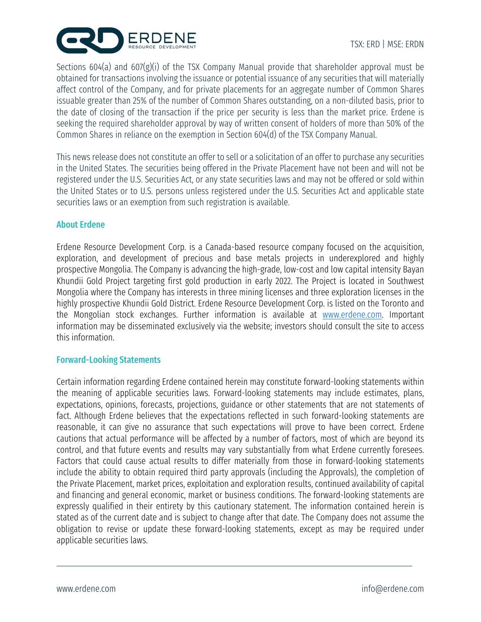

Sections 604(a) and 607(g)(i) of the TSX Company Manual provide that shareholder approval must be obtained for transactions involving the issuance or potential issuance of any securities that will materially affect control of the Company, and for private placements for an aggregate number of Common Shares issuable greater than 25% of the number of Common Shares outstanding, on a non-diluted basis, prior to the date of closing of the transaction if the price per security is less than the market price. Erdene is seeking the required shareholder approval by way of written consent of holders of more than 50% of the Common Shares in reliance on the exemption in Section 604(d) of the TSX Company Manual.

This news release does not constitute an offer to sell or a solicitation of an offer to purchase any securities in the United States. The securities being offered in the Private Placement have not been and will not be registered under the U.S. Securities Act, or any state securities laws and may not be offered or sold within the United States or to U.S. persons unless registered under the U.S. Securities Act and applicable state securities laws or an exemption from such registration is available.

### About Erdene

Erdene Resource Development Corp. is a Canada-based resource company focused on the acquisition, exploration, and development of precious and base metals projects in underexplored and highly prospective Mongolia. The Company is advancing the high-grade, low-cost and low capital intensity Bayan Khundii Gold Project targeting first gold production in early 2022. The Project is located in Southwest Mongolia where the Company has interests in three mining licenses and three exploration licenses in the highly prospective Khundii Gold District. Erdene Resource Development Corp. is listed on the Toronto and the Mongolian stock exchanges. Further information is available at www.erdene.com. Important information may be disseminated exclusively via the website; investors should consult the site to access this information.

## Forward-Looking Statements

Certain information regarding Erdene contained herein may constitute forward-looking statements within the meaning of applicable securities laws. Forward-looking statements may include estimates, plans, expectations, opinions, forecasts, projections, guidance or other statements that are not statements of fact. Although Erdene believes that the expectations reflected in such forward-looking statements are reasonable, it can give no assurance that such expectations will prove to have been correct. Erdene cautions that actual performance will be affected by a number of factors, most of which are beyond its control, and that future events and results may vary substantially from what Erdene currently foresees. Factors that could cause actual results to differ materially from those in forward-looking statements include the ability to obtain required third party approvals (including the Approvals), the completion of the Private Placement, market prices, exploitation and exploration results, continued availability of capital and financing and general economic, market or business conditions. The forward-looking statements are expressly qualified in their entirety by this cautionary statement. The information contained herein is stated as of the current date and is subject to change after that date. The Company does not assume the obligation to revise or update these forward-looking statements, except as may be required under applicable securities laws.